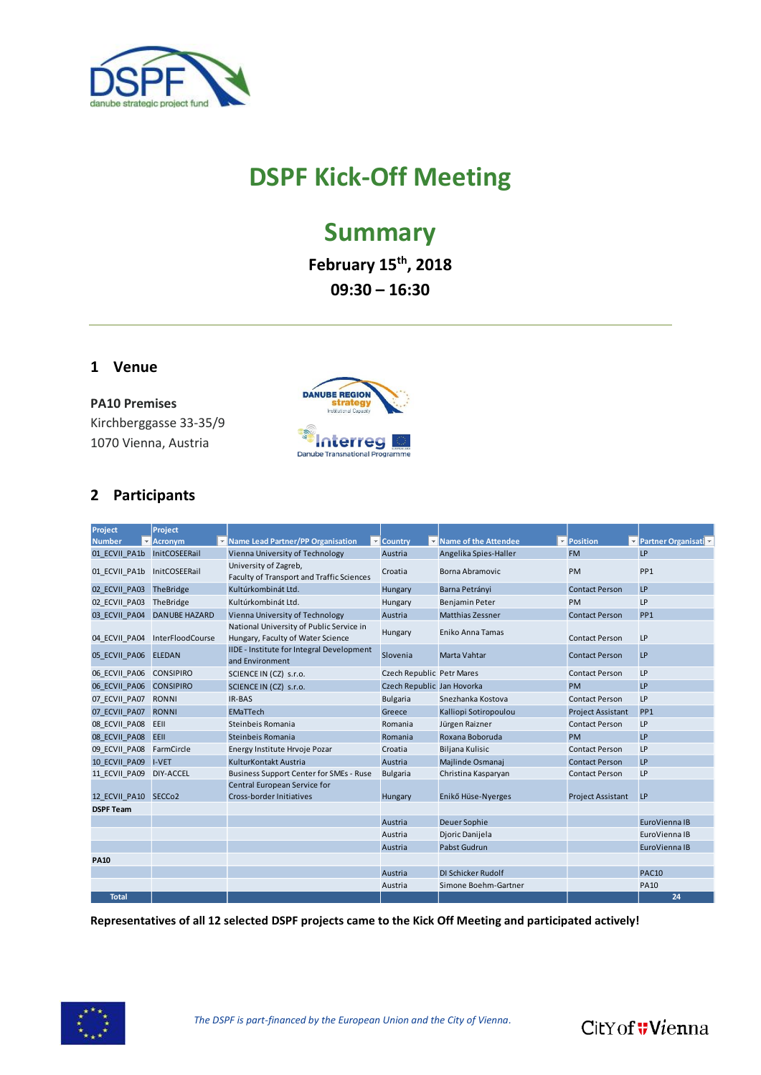

# **DSPF Kick-Off Meeting**

## **Summary**

**February 15th, 2018 09:30 – 16:30**

#### **1 Venue**

**PA10 Premises** Kirchberggasse 33-35/9 1070 Vienna, Austria



### **2 Participants**

| Project                     | Project                     |                                                                               |                            |                                                 |                          |                        |
|-----------------------------|-----------------------------|-------------------------------------------------------------------------------|----------------------------|-------------------------------------------------|--------------------------|------------------------|
| <b>Number</b>               | Acronym                     | Mame Lead Partner/PP Organisation                                             | <b>Country</b>             | Name of the Attendee<br>$\overline{\mathbf{v}}$ | Position                 | ▼ Partner Organisati ▼ |
| 01 ECVII PA1b InitCOSEERail |                             | Vienna University of Technology                                               | Austria                    | Angelika Spies-Haller                           | <b>FM</b>                | <b>LP</b>              |
| 01 ECVII PA1b               | InitCOSEERail               | University of Zagreb,<br>Faculty of Transport and Traffic Sciences            | Croatia                    | <b>Borna Abramovic</b>                          | <b>PM</b>                | PP <sub>1</sub>        |
| 02 ECVII PA03 TheBridge     |                             | Kultúrkombinát Ltd.                                                           | Hungary                    | Barna Petrányi                                  | <b>Contact Person</b>    | LP                     |
| 02 ECVII PA03               | TheBridge                   | Kultúrkombinát Ltd.                                                           | Hungary                    | Benjamin Peter                                  | <b>PM</b>                | LP                     |
|                             | 03 ECVII PA04 DANUBE HAZARD | Vienna University of Technology                                               | Austria                    | <b>Matthias Zessner</b>                         | <b>Contact Person</b>    | PP <sub>1</sub>        |
| 04 ECVII PA04               | InterFloodCourse            | National University of Public Service in<br>Hungary, Faculty of Water Science | Hungary                    | Eniko Anna Tamas                                | <b>Contact Person</b>    | LP                     |
| 05 ECVII PA06               | <b>ELEDAN</b>               | <b>IIDE - Institute for Integral Development</b><br>and Environment           | Slovenia                   | Marta Vahtar                                    | <b>Contact Person</b>    | LP                     |
| 06 ECVII PA06 CONSIPIRO     |                             | SCIENCE IN (CZ) s.r.o.                                                        | Czech Republic Petr Mares  |                                                 | <b>Contact Person</b>    | LP                     |
| 06 ECVII PA06 CONSIPIRO     |                             | SCIENCE IN (CZ) s.r.o.                                                        | Czech Republic Jan Hovorka |                                                 | <b>PM</b>                | LP                     |
| 07 ECVII PA07 RONNI         |                             | <b>IR-BAS</b>                                                                 | <b>Bulgaria</b>            | Snezhanka Kostova                               | <b>Contact Person</b>    | LP                     |
| 07 ECVII PA07               | RONNI                       | <b>EMaTTech</b>                                                               | Greece                     | Kalliopi Sotiropoulou                           | <b>Project Assistant</b> | PP <sub>1</sub>        |
| 08 ECVII PA08               | EEII                        | Steinbeis Romania                                                             | Romania                    | Jürgen Raizner                                  | <b>Contact Person</b>    | LP                     |
| 08 ECVII PA08 EEII          |                             | Steinbeis Romania                                                             | Romania                    | Roxana Boboruda                                 | PM                       | LP                     |
| 09 ECVII PA08 FarmCircle    |                             | Energy Institute Hrvoje Pozar                                                 | Croatia                    | <b>Biljana Kulisic</b>                          | <b>Contact Person</b>    | LP                     |
| 10 ECVII PA09               | I-VET                       | KulturKontakt Austria                                                         | Austria                    | Majlinde Osmanaj                                | <b>Contact Person</b>    | <b>LP</b>              |
| 11 ECVII PA09               | DIY-ACCEL                   | <b>Business Support Center for SMEs - Ruse</b>                                | <b>Bulgaria</b>            | Christina Kasparyan                             | <b>Contact Person</b>    | LP                     |
|                             |                             | Central European Service for                                                  |                            |                                                 |                          |                        |
| 12 ECVII PA10 SECCo2        |                             | Cross-border Initiatives                                                      | Hungary                    | Enikő Hüse-Nyerges                              | <b>Project Assistant</b> | LP                     |
| <b>DSPF Team</b>            |                             |                                                                               |                            |                                                 |                          |                        |
|                             |                             |                                                                               | Austria                    | Deuer Sophie                                    |                          | EuroVienna IB          |
|                             |                             |                                                                               | Austria                    | Dioric Danijela                                 |                          | EuroVienna IB          |
|                             |                             |                                                                               | Austria                    | Pabst Gudrun                                    |                          | EuroVienna IB          |
| <b>PA10</b>                 |                             |                                                                               |                            |                                                 |                          |                        |
|                             |                             |                                                                               | Austria                    | <b>DI Schicker Rudolf</b>                       |                          | <b>PAC10</b>           |
|                             |                             |                                                                               | Austria                    | Simone Boehm-Gartner                            |                          | <b>PA10</b>            |
| <b>Total</b>                |                             |                                                                               |                            |                                                 |                          | 24                     |

**Representatives of all 12 selected DSPF projects came to the Kick Off Meeting and participated actively!**



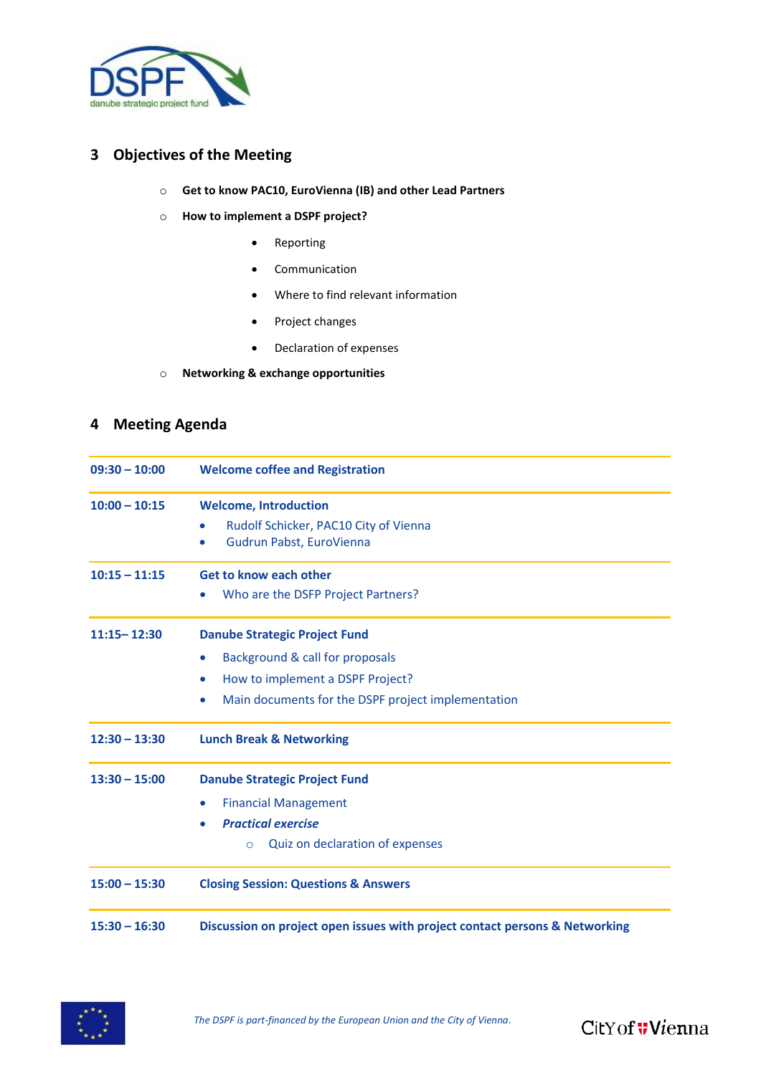

#### **3 Objectives of the Meeting**

- o **Get to know PAC10, EuroVienna (IB) and other Lead Partners**
- o **How to implement a DSPF project?**
	- Reporting
	- Communication
	- Where to find relevant information
	- Project changes
	- Declaration of expenses
- o **Networking & exchange opportunities**

#### **4 Meeting Agenda**

| $09:30 - 10:00$ | <b>Welcome coffee and Registration</b>                                                                                                         |  |  |
|-----------------|------------------------------------------------------------------------------------------------------------------------------------------------|--|--|
| $10:00 - 10:15$ | <b>Welcome, Introduction</b><br>Rudolf Schicker, PAC10 City of Vienna<br>$\bullet$<br>Gudrun Pabst, EuroVienna                                 |  |  |
| $10:15 - 11:15$ | <b>Get to know each other</b><br>Who are the DSFP Project Partners?                                                                            |  |  |
| $11:15 - 12:30$ | <b>Danube Strategic Project Fund</b><br>Background & call for proposals<br>$\bullet$                                                           |  |  |
|                 | How to implement a DSPF Project?<br>$\bullet$<br>Main documents for the DSPF project implementation<br>$\bullet$                               |  |  |
| $12:30 - 13:30$ | <b>Lunch Break &amp; Networking</b>                                                                                                            |  |  |
| $13:30 - 15:00$ | <b>Danube Strategic Project Fund</b><br><b>Financial Management</b><br><b>Practical exercise</b><br>Quiz on declaration of expenses<br>$\circ$ |  |  |
| $15:00 - 15:30$ | <b>Closing Session: Questions &amp; Answers</b>                                                                                                |  |  |
| $15:30 - 16:30$ | Discussion on project open issues with project contact persons & Networking                                                                    |  |  |